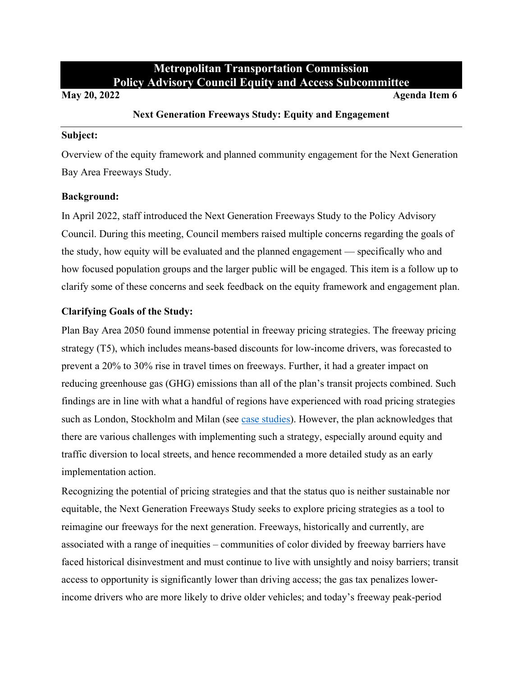# **Metropolitan Transportation Commission Policy Advisory Council Equity and Access Subcommittee**

**May 20, 2022 Agenda Item 6** 

### **Next Generation Freeways Study: Equity and Engagement**

#### **Subject:**

Overview of the equity framework and planned community engagement for the Next Generation Bay Area Freeways Study.

### **Background:**

In April 2022, staff introduced the Next Generation Freeways Study to the Policy Advisory Council. During this meeting, Council members raised multiple concerns regarding the goals of the study, how equity will be evaluated and the planned engagement — specifically who and how focused population groups and the larger public will be engaged. This item is a follow up to clarify some of these concerns and seek feedback on the equity framework and engagement plan.

# **Clarifying Goals of the Study:**

Plan Bay Area 2050 found immense potential in freeway pricing strategies. The freeway pricing strategy (T5), which includes means-based discounts for low-income drivers, was forecasted to prevent a 20% to 30% rise in travel times on freeways. Further, it had a greater impact on reducing greenhouse gas (GHG) emissions than all of the plan's transit projects combined. Such findings are in line with what a handful of regions have experienced with road pricing strategies such as London, Stockholm and Milan (see [case studies\)](https://www.sfcta.org/sites/default/files/2020-02/Congestion-Pricing-Case-Studies_2020-02-13.pdf). However, the plan acknowledges that there are various challenges with implementing such a strategy, especially around equity and traffic diversion to local streets, and hence recommended a more detailed study as an early implementation action.

Recognizing the potential of pricing strategies and that the status quo is neither sustainable nor equitable, the Next Generation Freeways Study seeks to explore pricing strategies as a tool to reimagine our freeways for the next generation. Freeways, historically and currently, are associated with a range of inequities – communities of color divided by freeway barriers have faced historical disinvestment and must continue to live with unsightly and noisy barriers; transit access to opportunity is significantly lower than driving access; the gas tax penalizes lowerincome drivers who are more likely to drive older vehicles; and today's freeway peak-period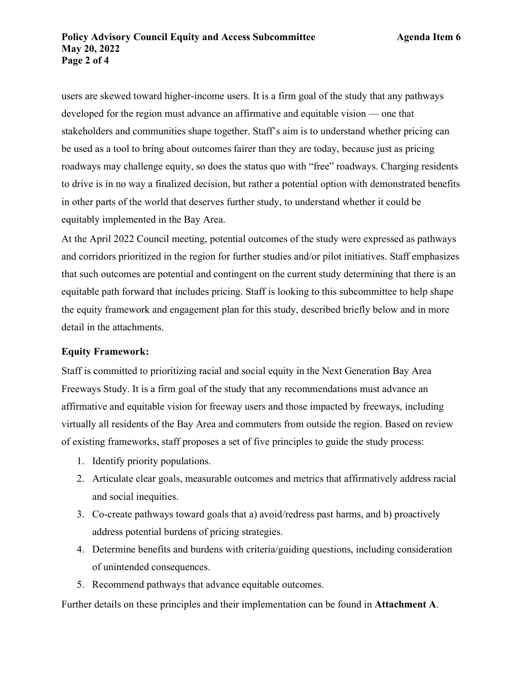users are skewed toward higher-income users. It is a firm goal of the study that any pathways developed for the region must advance an affirmative and equitable vision — one that stakeholders and communities shape together. Staff's aim is to understand whether pricing can be used as a tool to bring about outcomes fairer than they are today, because just as pricing roadways may challenge equity, so does the status quo with "free" roadways. Charging residents to drive is in no way a finalized decision, but rather a potential option with demonstrated benefits in other parts of the world that deserves further study, to understand whether it could be equitably implemented in the Bay Area.

At the April 2022 Council meeting, potential outcomes of the study were expressed as pathways and corridors prioritized in the region for further studies and/or pilot initiatives. Staff emphasizes that such outcomes are potential and contingent on the current study determining that there is an equitable path forward that includes pricing. Staff is looking to this subcommittee to help shape the equity framework and engagement plan for this study, described briefly below and in more detail in the attachments.

#### **Equity Framework:**

Staff is committed to prioritizing racial and social equity in the Next Generation Bay Area Freeways Study. It is a firm goal of the study that any recommendations must advance an affirmative and equitable vision for freeway users and those impacted by freeways, including virtually all residents of the Bay Area and commuters from outside the region. Based on review of existing frameworks, staff proposes a set of five principles to guide the study process:

- 1. Identify priority populations.
- 2. Articulate clear goals, measurable outcomes and metrics that affirmatively address racial and social inequities.
- 3. Co-create pathways toward goals that a) avoid/redress past harms, and b) proactively address potential burdens of pricing strategies.
- 4. Determine benefits and burdens with criteria/guiding questions, including consideration of unintended consequences.
- 5. Recommend pathways that advance equitable outcomes.

Further details on these principles and their implementation can be found in **Attachment A**.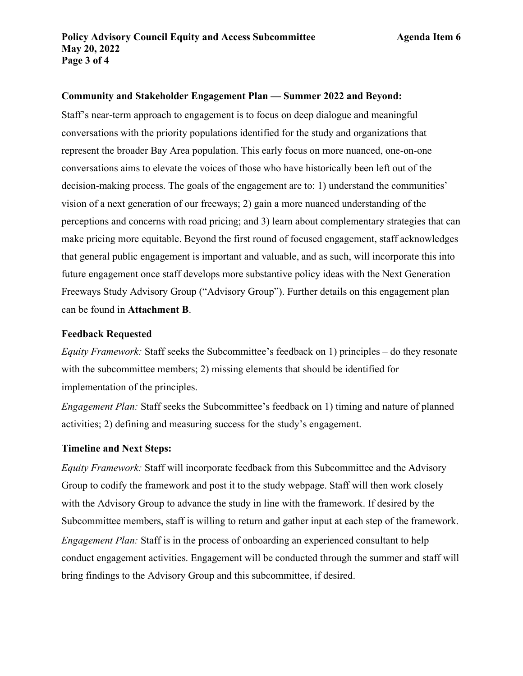### **Community and Stakeholder Engagement Plan — Summer 2022 and Beyond:**

Staff's near-term approach to engagement is to focus on deep dialogue and meaningful conversations with the priority populations identified for the study and organizations that represent the broader Bay Area population. This early focus on more nuanced, one-on-one conversations aims to elevate the voices of those who have historically been left out of the decision-making process. The goals of the engagement are to: 1) understand the communities' vision of a next generation of our freeways; 2) gain a more nuanced understanding of the perceptions and concerns with road pricing; and 3) learn about complementary strategies that can make pricing more equitable. Beyond the first round of focused engagement, staff acknowledges that general public engagement is important and valuable, and as such, will incorporate this into future engagement once staff develops more substantive policy ideas with the Next Generation Freeways Study Advisory Group ("Advisory Group"). Further details on this engagement plan can be found in **Attachment B**.

#### **Feedback Requested**

*Equity Framework:* Staff seeks the Subcommittee's feedback on 1) principles – do they resonate with the subcommittee members; 2) missing elements that should be identified for implementation of the principles.

*Engagement Plan:* Staff seeks the Subcommittee's feedback on 1) timing and nature of planned activities; 2) defining and measuring success for the study's engagement.

#### **Timeline and Next Steps:**

*Equity Framework:* Staff will incorporate feedback from this Subcommittee and the Advisory Group to codify the framework and post it to the study webpage. Staff will then work closely with the Advisory Group to advance the study in line with the framework. If desired by the Subcommittee members, staff is willing to return and gather input at each step of the framework. *Engagement Plan:* Staff is in the process of onboarding an experienced consultant to help conduct engagement activities. Engagement will be conducted through the summer and staff will bring findings to the Advisory Group and this subcommittee, if desired.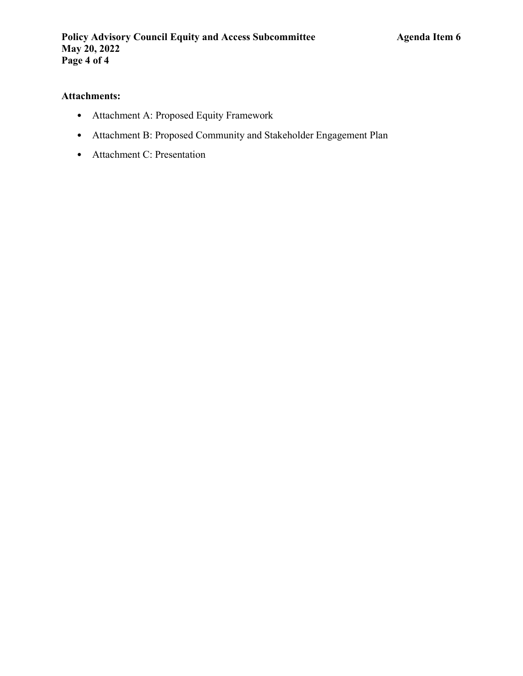# **Attachments:**

- Attachment A: Proposed Equity Framework
- Attachment B: Proposed Community and Stakeholder Engagement Plan
- Attachment C: Presentation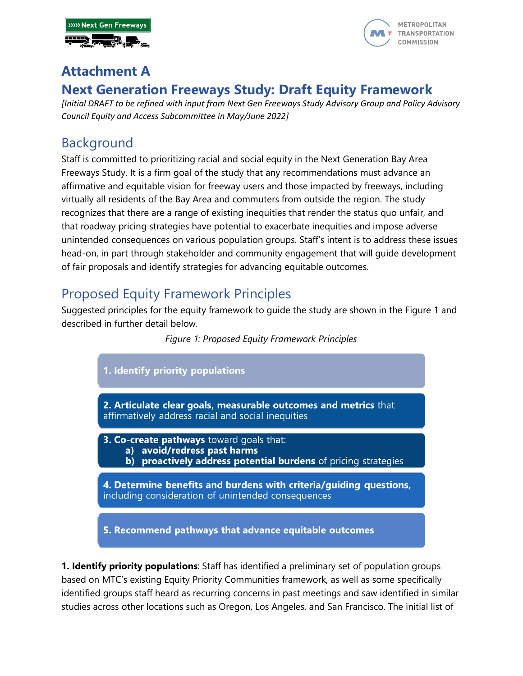



# **Attachment A Next Generation Freeways Study: Draft Equity Framework**

*[Initial DRAFT to be refined with input from Next Gen Freeways Study Advisory Group and Policy Advisory Council Equity and Access Subcommittee in May/June 2022]*

# Background

Staff is committed to prioritizing racial and social equity in the Next Generation Bay Area Freeways Study. It is a firm goal of the study that any recommendations must advance an affirmative and equitable vision for freeway users and those impacted by freeways, including virtually all residents of the Bay Area and commuters from outside the region. The study recognizes that there are a range of existing inequities that render the status quo unfair, and that roadway pricing strategies have potential to exacerbate inequities and impose adverse unintended consequences on various population groups. Staff's intent is to address these issues head-on, in part through stakeholder and community engagement that will guide development of fair proposals and identify strategies for advancing equitable outcomes.

# Proposed Equity Framework Principles

Suggested principles for the equity framework to guide the study are shown in the Figure 1 and described in further detail below.

## *Figure 1: Proposed Equity Framework Principles*



**1. Identify priority populations**: Staff has identified a preliminary set of population groups based on MTC's existing Equity Priority Communities framework, as well as some specifically identified groups staff heard as recurring concerns in past meetings and saw identified in similar studies across other locations such as Oregon, Los Angeles, and San Francisco. The initial list of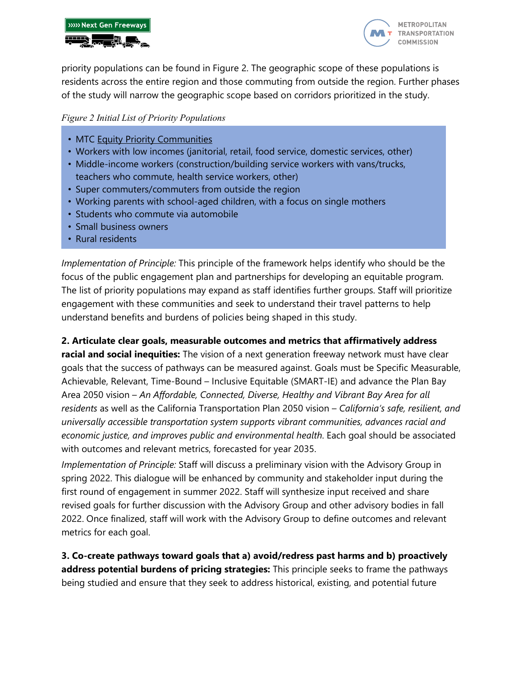



priority populations can be found in Figure 2. The geographic scope of these populations is residents across the entire region and those commuting from outside the region. Further phases of the study will narrow the geographic scope based on corridors prioritized in the study.

### *Figure 2 Initial List of Priority Populations*

- MTC [Equity Priority Communities](https://mtc.ca.gov/planning/transportation/access-equity-mobility/equity-priority-communities)
- Workers with low incomes (janitorial, retail, food service, domestic services, other)
- Middle-income workers (construction/building service workers with vans/trucks, teachers who commute, health service workers, other)
- Super commuters/commuters from outside the region
- Working parents with school-aged children, with a focus on single mothers
- Students who commute via automobile
- Small business owners
- Rural residents

*Implementation of Principle:* This principle of the framework helps identify who should be the focus of the public engagement plan and partnerships for developing an equitable program. The list of priority populations may expand as staff identifies further groups. Staff will prioritize engagement with these communities and seek to understand their travel patterns to help understand benefits and burdens of policies being shaped in this study.

### **2. Articulate clear goals, measurable outcomes and metrics that affirmatively address**

**racial and social inequities:** The vision of a next generation freeway network must have clear goals that the success of pathways can be measured against. Goals must be Specific Measurable, Achievable, Relevant, Time-Bound – Inclusive Equitable (SMART-IE) and advance the Plan Bay Area 2050 vision – *An Affordable, Connected, Diverse, Healthy and Vibrant Bay Area for all residents* as well as the California Transportation Plan 2050 vision – *California's safe, resilient, and universally accessible transportation system supports vibrant communities, advances racial and economic justice, and improves public and environmental health*. Each goal should be associated with outcomes and relevant metrics, forecasted for year 2035.

*Implementation of Principle:* Staff will discuss a preliminary vision with the Advisory Group in spring 2022. This dialogue will be enhanced by community and stakeholder input during the first round of engagement in summer 2022. Staff will synthesize input received and share revised goals for further discussion with the Advisory Group and other advisory bodies in fall 2022. Once finalized, staff will work with the Advisory Group to define outcomes and relevant metrics for each goal.

**3. Co-create pathways toward goals that a) avoid/redress past harms and b) proactively address potential burdens of pricing strategies:** This principle seeks to frame the pathways being studied and ensure that they seek to address historical, existing, and potential future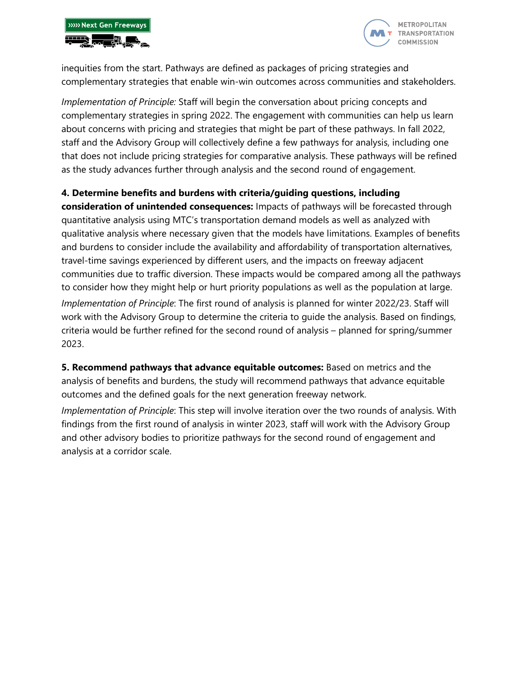



inequities from the start. Pathways are defined as packages of pricing strategies and complementary strategies that enable win-win outcomes across communities and stakeholders.

*Implementation of Principle:* Staff will begin the conversation about pricing concepts and complementary strategies in spring 2022. The engagement with communities can help us learn about concerns with pricing and strategies that might be part of these pathways. In fall 2022, staff and the Advisory Group will collectively define a few pathways for analysis, including one that does not include pricing strategies for comparative analysis. These pathways will be refined as the study advances further through analysis and the second round of engagement.

### **4. Determine benefits and burdens with criteria/guiding questions, including**

**consideration of unintended consequences:** Impacts of pathways will be forecasted through quantitative analysis using MTC's transportation demand models as well as analyzed with qualitative analysis where necessary given that the models have limitations. Examples of benefits and burdens to consider include the availability and affordability of transportation alternatives, travel-time savings experienced by different users, and the impacts on freeway adjacent communities due to traffic diversion. These impacts would be compared among all the pathways to consider how they might help or hurt priority populations as well as the population at large. *Implementation of Principle*: The first round of analysis is planned for winter 2022/23. Staff will work with the Advisory Group to determine the criteria to guide the analysis. Based on findings, criteria would be further refined for the second round of analysis – planned for spring/summer 2023.

**5. Recommend pathways that advance equitable outcomes:** Based on metrics and the analysis of benefits and burdens, the study will recommend pathways that advance equitable outcomes and the defined goals for the next generation freeway network.

*Implementation of Principle*: This step will involve iteration over the two rounds of analysis. With findings from the first round of analysis in winter 2023, staff will work with the Advisory Group and other advisory bodies to prioritize pathways for the second round of engagement and analysis at a corridor scale.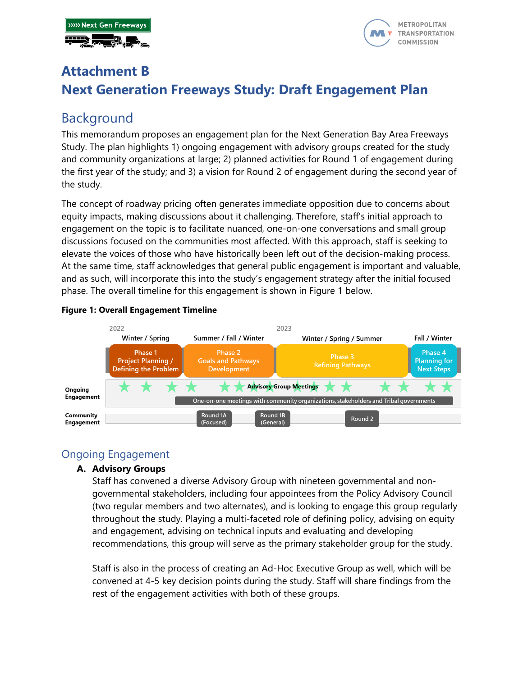



# **Attachment B Next Generation Freeways Study: Draft Engagement Plan**

# Background

This memorandum proposes an engagement plan for the Next Generation Bay Area Freeways Study. The plan highlights 1) ongoing engagement with advisory groups created for the study and community organizations at large; 2) planned activities for Round 1 of engagement during the first year of the study; and 3) a vision for Round 2 of engagement during the second year of the study.

The concept of roadway pricing often generates immediate opposition due to concerns about equity impacts, making discussions about it challenging. Therefore, staff's initial approach to engagement on the topic is to facilitate nuanced, one-on-one conversations and small group discussions focused on the communities most affected. With this approach, staff is seeking to elevate the voices of those who have historically been left out of the decision-making process. At the same time, staff acknowledges that general public engagement is important and valuable, and as such, will incorporate this into the study's engagement strategy after the initial focused phase. The overall timeline for this engagement is shown in Figure 1 below.



#### **Figure 1: Overall Engagement Timeline**

# Ongoing Engagement

### **A. Advisory Groups**

Staff has convened a diverse Advisory Group with nineteen governmental and nongovernmental stakeholders, including four appointees from the Policy Advisory Council (two regular members and two alternates), and is looking to engage this group regularly throughout the study. Playing a multi-faceted role of defining policy, advising on equity and engagement, advising on technical inputs and evaluating and developing recommendations, this group will serve as the primary stakeholder group for the study.

Staff is also in the process of creating an Ad-Hoc Executive Group as well, which will be convened at 4-5 key decision points during the study. Staff will share findings from the rest of the engagement activities with both of these groups.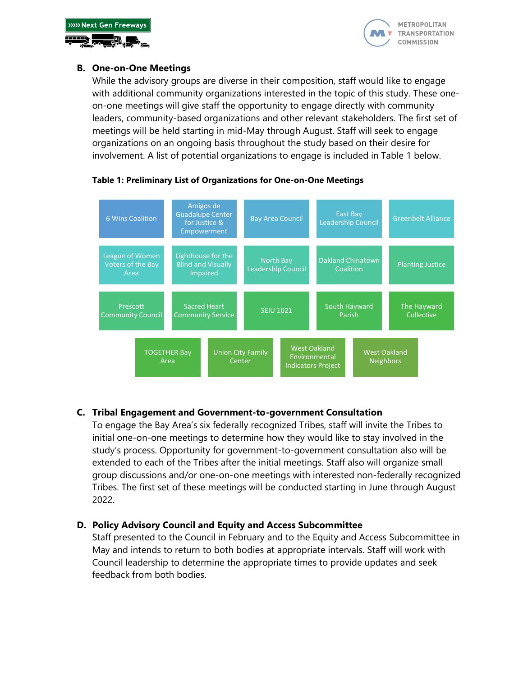



## **B. One-on-One Meetings**

While the advisory groups are diverse in their composition, staff would like to engage with additional community organizations interested in the topic of this study. These oneon-one meetings will give staff the opportunity to engage directly with community leaders, community-based organizations and other relevant stakeholders. The first set of meetings will be held starting in mid-May through August. Staff will seek to engage organizations on an ongoing basis throughout the study based on their desire for involvement. A list of potential organizations to engage is included in Table 1 below.



#### **Table 1: Preliminary List of Organizations for One-on-One Meetings**

### **C. Tribal Engagement and Government-to-government Consultation**

To engage the Bay Area's six federally recognized Tribes, staff will invite the Tribes to initial one-on-one meetings to determine how they would like to stay involved in the study's process. Opportunity for government-to-government consultation also will be extended to each of the Tribes after the initial meetings. Staff also will organize small group discussions and/or one-on-one meetings with interested non-federally recognized Tribes. The first set of these meetings will be conducted starting in June through August 2022.

### **D. Policy Advisory Council and Equity and Access Subcommittee**

Staff presented to the Council in February and to the Equity and Access Subcommittee in May and intends to return to both bodies at appropriate intervals. Staff will work with Council leadership to determine the appropriate times to provide updates and seek feedback from both bodies.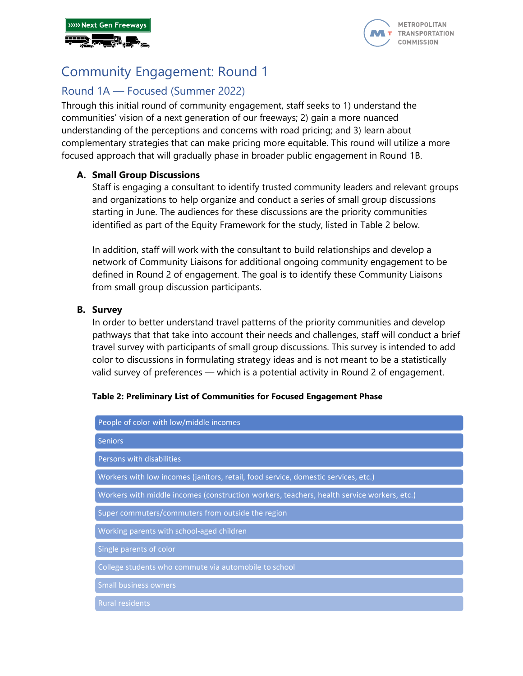



# Community Engagement: Round 1

# Round 1A — Focused (Summer 2022)

Through this initial round of community engagement, staff seeks to 1) understand the communities' vision of a next generation of our freeways; 2) gain a more nuanced understanding of the perceptions and concerns with road pricing; and 3) learn about complementary strategies that can make pricing more equitable. This round will utilize a more focused approach that will gradually phase in broader public engagement in Round 1B.

## **A. Small Group Discussions**

Staff is engaging a consultant to identify trusted community leaders and relevant groups and organizations to help organize and conduct a series of small group discussions starting in June. The audiences for these discussions are the priority communities identified as part of the Equity Framework for the study, listed in Table 2 below.

In addition, staff will work with the consultant to build relationships and develop a network of Community Liaisons for additional ongoing community engagement to be defined in Round 2 of engagement. The goal is to identify these Community Liaisons from small group discussion participants.

# **B. Survey**

In order to better understand travel patterns of the priority communities and develop pathways that that take into account their needs and challenges, staff will conduct a brief travel survey with participants of small group discussions. This survey is intended to add color to discussions in formulating strategy ideas and is not meant to be a statistically valid survey of preferences — which is a potential activity in Round 2 of engagement.

#### **Table 2: Preliminary List of Communities for Focused Engagement Phase**

| People of color with low/middle incomes                                                    |
|--------------------------------------------------------------------------------------------|
| <b>Seniors</b>                                                                             |
| Persons with disabilities                                                                  |
| Workers with low incomes (janitors, retail, food service, domestic services, etc.)         |
| Workers with middle incomes (construction workers, teachers, health service workers, etc.) |
| Super commuters/commuters from outside the region                                          |
| Working parents with school-aged children                                                  |
| Single parents of color                                                                    |
| College students who commute via automobile to school                                      |
| <b>Small business owners</b>                                                               |
| <b>Rural residents</b>                                                                     |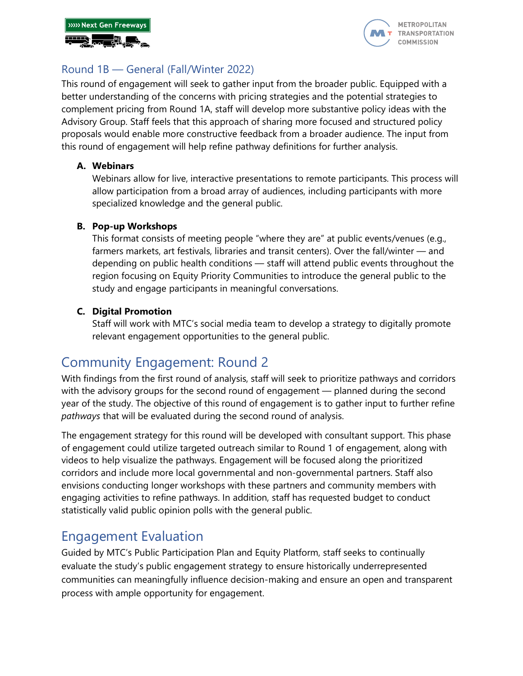



# Round 1B — General (Fall/Winter 2022)

This round of engagement will seek to gather input from the broader public. Equipped with a better understanding of the concerns with pricing strategies and the potential strategies to complement pricing from Round 1A, staff will develop more substantive policy ideas with the Advisory Group. Staff feels that this approach of sharing more focused and structured policy proposals would enable more constructive feedback from a broader audience. The input from this round of engagement will help refine pathway definitions for further analysis.

# **A. Webinars**

Webinars allow for live, interactive presentations to remote participants. This process will allow participation from a broad array of audiences, including participants with more specialized knowledge and the general public.

# **B. Pop-up Workshops**

This format consists of meeting people "where they are" at public events/venues (e.g., farmers markets, art festivals, libraries and transit centers). Over the fall/winter — and depending on public health conditions — staff will attend public events throughout the region focusing on Equity Priority Communities to introduce the general public to the study and engage participants in meaningful conversations.

# **C. Digital Promotion**

Staff will work with MTC's social media team to develop a strategy to digitally promote relevant engagement opportunities to the general public.

# Community Engagement: Round 2

With findings from the first round of analysis, staff will seek to prioritize pathways and corridors with the advisory groups for the second round of engagement — planned during the second year of the study. The objective of this round of engagement is to gather input to further refine *pathways* that will be evaluated during the second round of analysis.

The engagement strategy for this round will be developed with consultant support. This phase of engagement could utilize targeted outreach similar to Round 1 of engagement, along with videos to help visualize the pathways. Engagement will be focused along the prioritized corridors and include more local governmental and non-governmental partners. Staff also envisions conducting longer workshops with these partners and community members with engaging activities to refine pathways. In addition, staff has requested budget to conduct statistically valid public opinion polls with the general public.

# Engagement Evaluation

Guided by MTC's Public Participation Plan and Equity Platform, staff seeks to continually evaluate the study's public engagement strategy to ensure historically underrepresented communities can meaningfully influence decision-making and ensure an open and transparent process with ample opportunity for engagement.